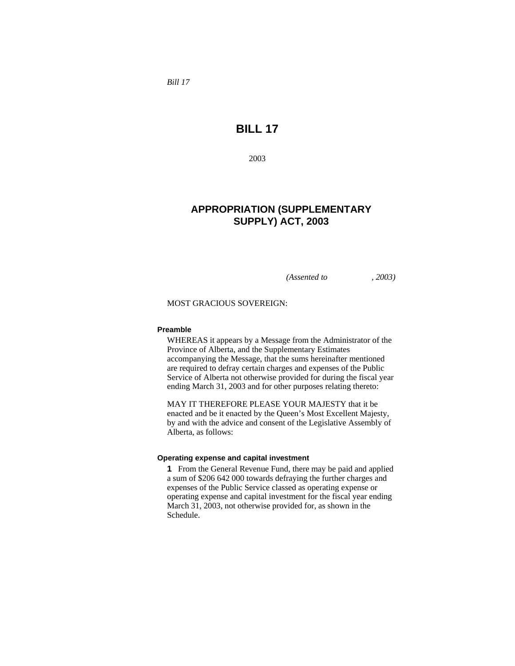*Bill 17* 

# **BILL 17**

2003

# **APPROPRIATION (SUPPLEMENTARY SUPPLY) ACT, 2003**

*(Assented to , 2003)* 

MOST GRACIOUS SOVEREIGN:

#### **Preamble**

WHEREAS it appears by a Message from the Administrator of the Province of Alberta, and the Supplementary Estimates accompanying the Message, that the sums hereinafter mentioned are required to defray certain charges and expenses of the Public Service of Alberta not otherwise provided for during the fiscal year ending March 31, 2003 and for other purposes relating thereto:

MAY IT THEREFORE PLEASE YOUR MAJESTY that it be enacted and be it enacted by the Queen's Most Excellent Majesty, by and with the advice and consent of the Legislative Assembly of Alberta, as follows:

#### **Operating expense and capital investment**

**1** From the General Revenue Fund, there may be paid and applied a sum of \$206 642 000 towards defraying the further charges and expenses of the Public Service classed as operating expense or operating expense and capital investment for the fiscal year ending March 31, 2003, not otherwise provided for, as shown in the Schedule.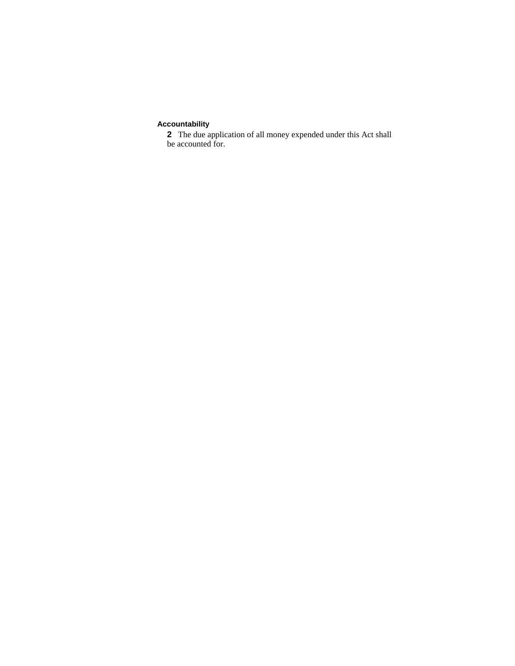## **Accountability**

**2** The due application of all money expended under this Act shall be accounted for.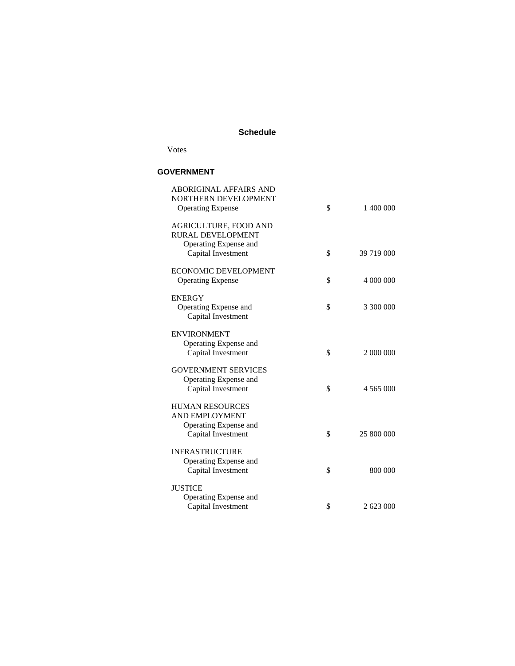### **Schedule**

Votes

### **GOVERNMENT**

| <b>ABORIGINAL AFFAIRS AND</b><br>NORTHERN DEVELOPMENT | \$               |
|-------------------------------------------------------|------------------|
| <b>Operating Expense</b>                              | 1 400 000        |
| <b>AGRICULTURE, FOOD AND</b>                          |                  |
| RURAL DEVELOPMENT                                     |                  |
| Operating Expense and                                 |                  |
| Capital Investment                                    | \$<br>39 719 000 |
| <b>ECONOMIC DEVELOPMENT</b>                           |                  |
| <b>Operating Expense</b>                              | \$<br>4 000 000  |
| <b>ENERGY</b>                                         |                  |
| Operating Expense and                                 | \$<br>3 300 000  |
| Capital Investment                                    |                  |
| <b>ENVIRONMENT</b>                                    |                  |
| Operating Expense and                                 |                  |
| Capital Investment                                    | \$<br>2 000 000  |
| <b>GOVERNMENT SERVICES</b>                            |                  |
| Operating Expense and                                 |                  |
| Capital Investment                                    | \$<br>4 565 000  |
|                                                       |                  |
| <b>HUMAN RESOURCES</b><br><b>AND EMPLOYMENT</b>       |                  |
| Operating Expense and                                 |                  |
| Capital Investment                                    | \$<br>25 800 000 |
|                                                       |                  |
| <b>INFRASTRUCTURE</b>                                 |                  |
| Operating Expense and                                 |                  |
| Capital Investment                                    | \$<br>800 000    |
| <b>JUSTICE</b>                                        |                  |
| Operating Expense and                                 |                  |
| Capital Investment                                    | \$<br>2 623 000  |